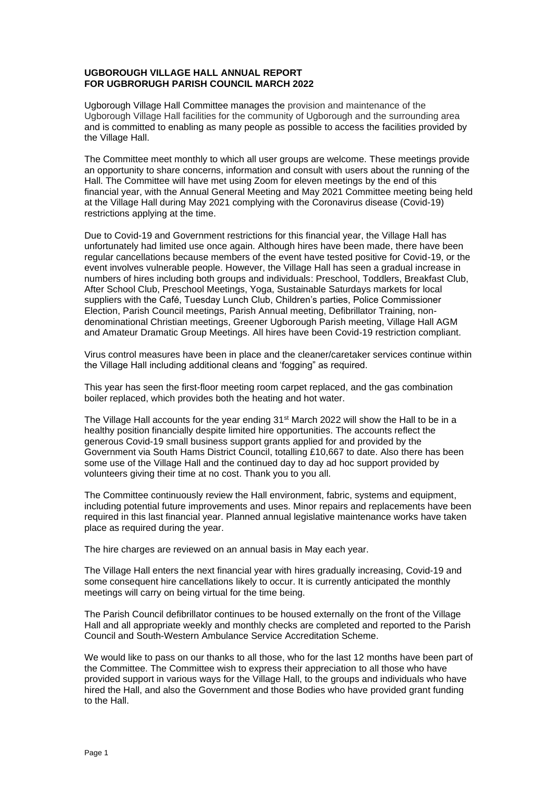## **UGBOROUGH VILLAGE HALL ANNUAL REPORT FOR UGBRORUGH PARISH COUNCIL MARCH 2022**

Ugborough Village Hall Committee manages the provision and maintenance of the Ugborough Village Hall facilities for the community of Ugborough and the surrounding area and is committed to enabling as many people as possible to access the facilities provided by the Village Hall.

The Committee meet monthly to which all user groups are welcome. These meetings provide an opportunity to share concerns, information and consult with users about the running of the Hall. The Committee will have met using Zoom for eleven meetings by the end of this financial year, with the Annual General Meeting and May 2021 Committee meeting being held at the Village Hall during May 2021 complying with the Coronavirus disease (Covid-19) restrictions applying at the time.

Due to Covid-19 and Government restrictions for this financial year, the Village Hall has unfortunately had limited use once again. Although hires have been made, there have been regular cancellations because members of the event have tested positive for Covid-19, or the event involves vulnerable people. However, the Village Hall has seen a gradual increase in numbers of hires including both groups and individuals: Preschool, Toddlers, Breakfast Club, After School Club, Preschool Meetings, Yoga, Sustainable Saturdays markets for local suppliers with the Café, Tuesday Lunch Club, Children's parties, Police Commissioner Election, Parish Council meetings, Parish Annual meeting, Defibrillator Training, nondenominational Christian meetings, Greener Ugborough Parish meeting, Village Hall AGM and Amateur Dramatic Group Meetings. All hires have been Covid-19 restriction compliant.

Virus control measures have been in place and the cleaner/caretaker services continue within the Village Hall including additional cleans and 'fogging" as required.

This year has seen the first-floor meeting room carpet replaced, and the gas combination boiler replaced, which provides both the heating and hot water.

The Village Hall accounts for the year ending  $31<sup>st</sup>$  March 2022 will show the Hall to be in a healthy position financially despite limited hire opportunities. The accounts reflect the generous Covid-19 small business support grants applied for and provided by the Government via South Hams District Council, totalling £10,667 to date. Also there has been some use of the Village Hall and the continued day to day ad hoc support provided by volunteers giving their time at no cost. Thank you to you all.

The Committee continuously review the Hall environment, fabric, systems and equipment, including potential future improvements and uses. Minor repairs and replacements have been required in this last financial year. Planned annual legislative maintenance works have taken place as required during the year.

The hire charges are reviewed on an annual basis in May each year.

The Village Hall enters the next financial year with hires gradually increasing, Covid-19 and some consequent hire cancellations likely to occur. It is currently anticipated the monthly meetings will carry on being virtual for the time being.

The Parish Council defibrillator continues to be housed externally on the front of the Village Hall and all appropriate weekly and monthly checks are completed and reported to the Parish Council and South-Western Ambulance Service Accreditation Scheme.

We would like to pass on our thanks to all those, who for the last 12 months have been part of the Committee. The Committee wish to express their appreciation to all those who have provided support in various ways for the Village Hall, to the groups and individuals who have hired the Hall, and also the Government and those Bodies who have provided grant funding to the Hall.